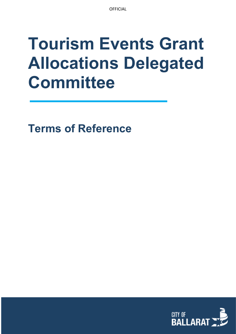# **Tourism Events Grant Allocations Delegated Committee**

**Terms of Reference**

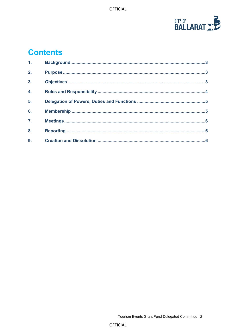

## **Contents**

| 1 <sub>1</sub>   |  |
|------------------|--|
| 2.               |  |
| 3 <sub>1</sub>   |  |
| 4.               |  |
| 5.               |  |
| 6.               |  |
| $\overline{7}$ . |  |
| 8.               |  |
| 9.               |  |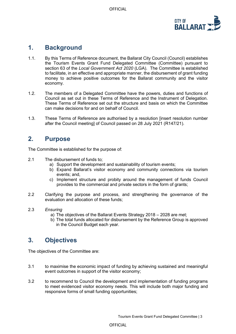

#### <span id="page-2-0"></span>**1. Background**

- 1.1. By this Terms of Reference document, the Ballarat City Council (Council) establishes the Tourism Events Grant Fund Delegated Committee (Committee) pursuant to section 63 of the *Local Government Act 2020* (LGA). The Committee is established to facilitate, in an effective and appropriate manner, the disbursement of grant funding money to achieve positive outcomes for the Ballarat community and the visitor economy.
- 1.2. The members of a Delegated Committee have the powers, duties and functions of Council as set out in these Terms of Reference and the Instrument of Delegation. These Terms of Reference set out the structure and basis on which the Committee can make decisions for and on behalf of Council.
- 1.3. These Terms of Reference are authorised by a resolution [insert resolution number after the Council meeting] of Council passed on 28 July 2021 (R147/21).

#### <span id="page-2-1"></span>**2. Purpose**

The Committee is established for the purpose of:

- 2.1 The disbursement of funds to;
	- a) Support the development and sustainability of tourism events;
	- b) Expand Ballarat's visitor economy and community connections via tourism events; and,
	- c) Implement structure and probity around the management of funds Council provides to the commercial and private sectors in the form of grants;
- 2.2 Clarifying the purpose and process, and strengthening the governance of the evaluation and allocation of these funds;
- 2.3 *Ensuring*
	- a) The objectives of the Ballarat Events Strategy 2018 2028 are met;
	- b) The total funds allocated for disbursement by the Reference Group is approved in the Council Budget each year.

### <span id="page-2-2"></span>**3. Objectives**

The objectives of the Committee are:

- 3.1 to maximise the economic impact of funding by achieving sustained and meaningful event outcomes in support of the visitor economy;
- 3.2 to recommend to Council the development and implementation of funding programs to meet evidenced visitor economy needs. This will include both major funding and responsive forms of small funding opportunities;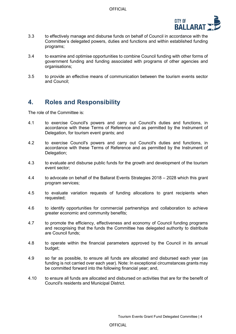

- 3.3 to effectively manage and disburse funds on behalf of Council in accordance with the Committee's delegated powers, duties and functions and within established funding programs;
- 3.4 to examine and optimise opportunities to combine Council funding with other forms of government funding and funding associated with programs of other agencies and organisations;
- 3.5 to provide an effective means of communication between the tourism events sector and Council;

#### <span id="page-3-0"></span>**4. Roles and Responsibility**

The role of the Committee is:

- 4.1 to exercise Council's powers and carry out Council's duties and functions, in accordance with these Terms of Reference and as permitted by the Instrument of Delegation, for tourism event grants; and
- 4.2 to exercise Council's powers and carry out Council's duties and functions, in accordance with these Terms of Reference and as permitted by the Instrument of Delegation;
- 4.3 to evaluate and disburse public funds for the growth and development of the tourism event sector;
- 4.4 to advocate on behalf of the Ballarat Events Strategies 2018 2028 which this grant program services;
- 4.5 to evaluate variation requests of funding allocations to grant recipients when requested;
- 4.6 to identify opportunities for commercial partnerships and collaboration to achieve greater economic and community benefits;
- 4.7 to promote the efficiency, effectiveness and economy of Council funding programs and recognising that the funds the Committee has delegated authority to distribute are Council funds;
- 4.8 to operate within the financial parameters approved by the Council in its annual budget;
- 4.9 so far as possible, to ensure all funds are allocated and disbursed each year (as funding is not carried over each year). Note: In exceptional circumstances grants may be committed forward into the following financial year; and,
- 4.10 to ensure all funds are allocated and disbursed on activities that are for the benefit of Council's residents and Municipal District.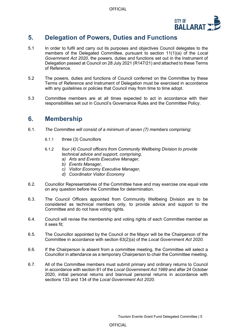

#### <span id="page-4-0"></span>**5. Delegation of Powers, Duties and Functions**

- 5.1 In order to fulfil and carry out its purposes and objectives Council delegates to the members of the Delegated Committee, pursuant to section 11(1)(a) of the *Local Government Act 2020*, the powers, duties and functions set out in the Instrument of Delegation passed at Council on 28 July 2021 (R147/21) and attached to these Terms of Reference.
- 5.2 The powers, duties and functions of Council conferred on the Committee by these Terms of Reference and Instrument of Delegation must be exercised in accordance with any guidelines or policies that Council may from time to time adopt.
- 5.3 Committee members are at all times expected to act in accordance with their responsibilities set out in Council's Governance Rules and the Committee Policy.

#### <span id="page-4-1"></span>**6. Membership**

- 6.1. *The Committee will consist of a minimum of seven (7) members comprising:*
	- 6.1.1 three (3) Councillors
	- 6.1.2 *four (4) Council officers from Community Wellbeing Division to provide technical advice and support, comprising,*
		- *a) Arts and Events Executive Manager,*
		- *b) Events Manager,*
		- *c) Visitor Economy Executive Manager,*
		- *d) Coordinator Visitor Economy*
- 6.2. Councillor Representatives of the Committee have and may exercise one equal vote on any question before the Committee for determination.
- 6.3. The Council Officers appointed from Community Wellbeing Division are to be considered as technical members only, to provide advice and support to the Committee and do not have voting rights.
- 6.4. Council will revise the membership and voting rights of each Committee member as it sees fit;
- 6.5. The Councillor appointed by the Council or the Mayor will be the Chairperson of the Committee in accordance with section 63(2)(a) of the *Local Government Act 2020.*
- 6.6. If the Chairperson is absent from a committee meeting, the Committee will select a Councillor in attendance as a temporary Chairperson to chair the Committee meeting.
- 6.7. All of the Committee members must submit primary and ordinary returns to Council in accordance with section 81 of the *Local Government Act 1989* and after 24 October 2020, initial personal returns and biannual personal returns in accordance with sections 133 and 134 of the *Local Government Act 2020.*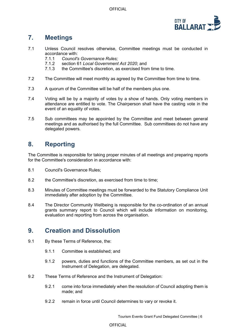**OFFICIAL** 



### <span id="page-5-0"></span>**7. Meetings**

- 7.1 Unless Council resolves otherwise, Committee meetings must be conducted in accordance with:<br>7.1.1 Council's
	- 7.1.1 *Council's Governance Rules;*
	- 7.1.2 section 61 *Local Government Act 2020*; and
	- the Committee's discretion, as exercised from time to time.
- 7.2 The Committee will meet monthly as agreed by the Committee from time to time.
- 7.3 A quorum of the Committee will be half of the members plus one.
- 7.4 Voting will be by a majority of votes by a show of hands. Only voting members in attendance are entitled to vote. The Chairperson shall have the casting vote in the event of an equality of votes.
- 7.5 Sub committees may be appointed by the Committee and meet between general meetings and as authorised by the full Committee. Sub committees do not have any delegated powers.

#### <span id="page-5-1"></span>**8. Reporting**

The Committee is responsible for taking proper minutes of all meetings and preparing reports for the Committee's consideration in accordance with:

- 8.1 Council's Governance Rules;
- 8.2 the Committee's discretion, as exercised from time to time;
- 8.3 Minutes of Committee meetings must be forwarded to the Statutory Compliance Unit immediately after adoption by the Committee.
- 8.4 The Director Community Wellbeing is responsible for the co-ordination of an annual grants summary report to Council which will include information on monitoring, evaluation and reporting from across the organisation.

#### <span id="page-5-2"></span>**9. Creation and Dissolution**

- 9.1 By these Terms of Reference, the:
	- 9.1.1 Committee is established; and
	- 9.1.2 powers, duties and functions of the Committee members, as set out in the Instrument of Delegation, are delegated.
- 9.2 These Terms of Reference and the Instrument of Delegation:
	- 9.2.1 come into force immediately when the resolution of Council adopting them is made; and
	- 9.2.2 remain in force until Council determines to vary or revoke it.

#### **OFFICIAL**